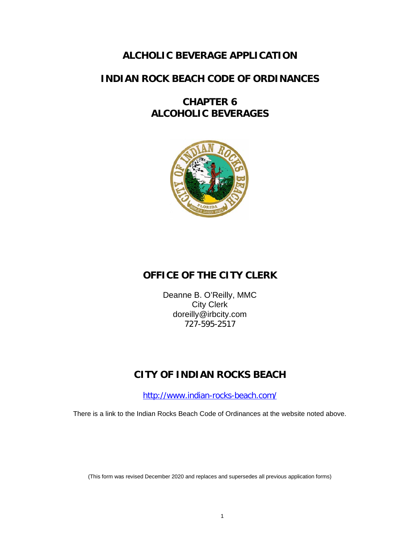## **ALCHOLIC BEVERAGE APPLICATION**

### **INDIAN ROCK BEACH CODE OF ORDINANCES**

## **CHAPTER 6 ALCOHOLIC BEVERAGES**



# **OFFICE OF THE CITY CLERK**

Deanne B. O'Reilly, MMC City Clerk doreilly@irbcity.com 727-595-2517

# **CITY OF INDIAN ROCKS BEACH**

<http://www.indian-rocks-beach.com/>

There is a link to the Indian Rocks Beach Code of Ordinances at the website noted above.

(This form was revised December 2020 and replaces and supersedes all previous application forms)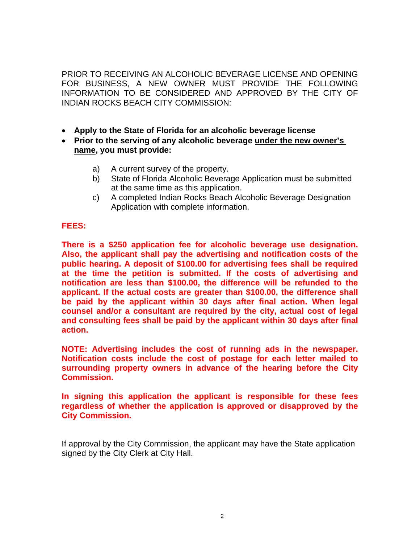PRIOR TO RECEIVING AN ALCOHOLIC BEVERAGE LICENSE AND OPENING FOR BUSINESS, A NEW OWNER MUST PROVIDE THE FOLLOWING INFORMATION TO BE CONSIDERED AND APPROVED BY THE CITY OF INDIAN ROCKS BEACH CITY COMMISSION:

- **Apply to the State of Florida for an alcoholic beverage license**
- **Prior to the serving of any alcoholic beverage under the new owner's name, you must provide:**
	- a) A current survey of the property.
	- b) State of Florida Alcoholic Beverage Application must be submitted at the same time as this application.
	- c) A completed Indian Rocks Beach Alcoholic Beverage Designation Application with complete information.

### **FEES:**

**There is a \$250 application fee for alcoholic beverage use designation. Also, the applicant shall pay the advertising and notification costs of the public hearing. A deposit of \$100.00 for advertising fees shall be required at the time the petition is submitted. If the costs of advertising and notification are less than \$100.00, the difference will be refunded to the applicant. If the actual costs are greater than \$100.00, the difference shall be paid by the applicant within 30 days after final action. When legal counsel and/or a consultant are required by the city, actual cost of legal and consulting fees shall be paid by the applicant within 30 days after final action.**

**NOTE: Advertising includes the cost of running ads in the newspaper. Notification costs include the cost of postage for each letter mailed to surrounding property owners in advance of the hearing before the City Commission.**

**In signing this application the applicant is responsible for these fees regardless of whether the application is approved or disapproved by the City Commission.**

If approval by the City Commission, the applicant may have the State application signed by the City Clerk at City Hall.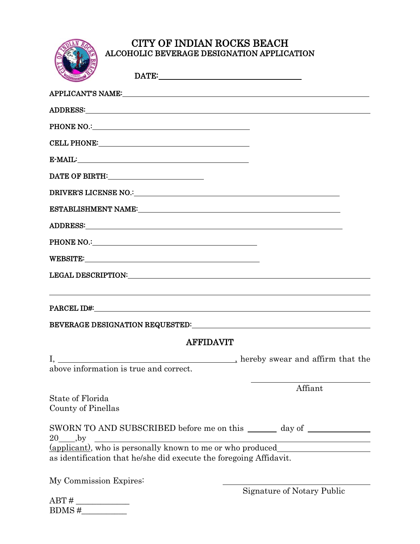

# CITY OF INDIAN ROCKS BEACH ALCOHOLIC BEVERAGE DESIGNATION APPLICATION

| E-MAIL: University of the contract of the contract of the contract of the contract of the contract of the contract of the contract of the contract of the contract of the contract of the contract of the contract of the cont |
|--------------------------------------------------------------------------------------------------------------------------------------------------------------------------------------------------------------------------------|
| DATE OF BIRTH: _________________________                                                                                                                                                                                       |
| DRIVER'S LICENSE NO.: NORTH SERVICE OF A SERVICE OF A SERVICE OF A SERVICE OF A SERVICE OF A SERVICE OF A SERVICE OF A SERVICE OF A SERVICE OF A SERVICE OF A SERVICE OF A SERVICE OF A SERVICE OF A SERVICE OF A SERVICE OF A |
|                                                                                                                                                                                                                                |
|                                                                                                                                                                                                                                |
| PHONE NO.: No. 2008 PHONE NO.                                                                                                                                                                                                  |
|                                                                                                                                                                                                                                |
|                                                                                                                                                                                                                                |
|                                                                                                                                                                                                                                |
| <b>AFFIDAVIT</b>                                                                                                                                                                                                               |
| above information is true and correct.                                                                                                                                                                                         |
| Affiant                                                                                                                                                                                                                        |
| State of Florida<br>County of Pinellas                                                                                                                                                                                         |
| SWORN TO AND SUBSCRIBED before me on this ______ day of ___________<br>$20 \qquad \text{,by}$<br><u> Alexandria de la contrada de la contrada de la contrada de la contrada de la contrada de la contrada de la c</u>          |
| (applicant), who is personally known to me or who produced<br>as identification that he/she did execute the foregoing Affidavit.                                                                                               |
| My Commission Expires:                                                                                                                                                                                                         |

ABT # \_\_\_\_\_\_\_\_\_\_\_\_\_  $\text{BDMS} \#$ 

Signature of Notary Public